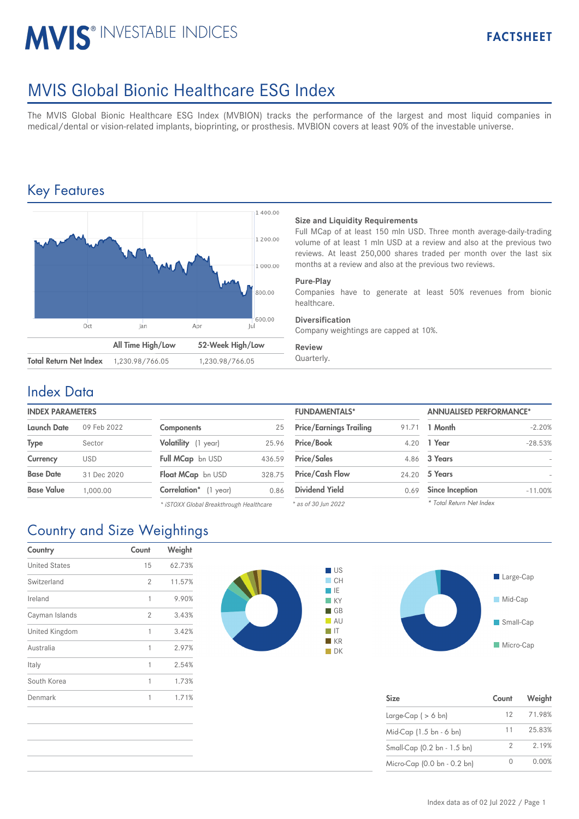# **MVIS® INVESTABLE INDICES**

# MVIS Global Bionic Healthcare ESG Index

The MVIS Global Bionic Healthcare ESG Index (MVBION) tracks the performance of the largest and most liquid companies in medical/dental or vision-related implants, bioprinting, or prosthesis. MVBION covers at least 90% of the investable universe.

# Key Features



#### **Size and Liquidity Requirements**

Full MCap of at least 150 mln USD. Three month average-daily-trading volume of at least 1 mln USD at a review and also at the previous two reviews. At least 250,000 shares traded per month over the last six months at a review and also at the previous two reviews.

#### **Pure-Play**

Companies have to generate at least 50% revenues from bionic healthcare.

#### **Diversification**

Company weightings are capped at 10%.

#### **Review**

### Index Data

#### **INDEX PARAMETERS**

| Launch Date       | 09 Feb 2022 | <b>Components</b>             | 25     | <b>Price/Earnings Trailing</b> | 91.71 | 1 Month                |
|-------------------|-------------|-------------------------------|--------|--------------------------------|-------|------------------------|
| Type              | Sector      | Volatility (1 year)           | 25.96  | <b>Price/Book</b>              |       | 4.20 1 Year            |
| Currency          | <b>USD</b>  | <b>Full MCap</b> bn USD       | 436.59 | <b>Price/Sales</b>             |       | 4.86 3 Years           |
| <b>Base Date</b>  | 31 Dec 2020 | Float MCap bn USD             | 328.75 | <b>Price/Cash Flow</b>         |       | 24.20 5 Years          |
| <b>Base Value</b> | 1,000.00    | <b>Correlation</b> * (1 year) | 0.86   | <b>Dividend Yield</b>          | 0.69  | <b>Since Inception</b> |

*\* iSTOXX Global Breakthrough Healthcare*

| <b>FUNDAMENTALS*</b>           |       | <b>ANNUALISED PERFORMANCE*</b> |           |  |
|--------------------------------|-------|--------------------------------|-----------|--|
| <b>Price/Earnings Trailing</b> | 91.71 | 1 Month                        | $-2.20%$  |  |
| Price/Book                     | 4.20  | 1 Year                         | $-28.53%$ |  |
| <b>Price/Sales</b>             | 4.86  | 3 Years                        |           |  |
| <b>Price/Cash Flow</b>         | 24.20 | 5 Years                        |           |  |
| <b>Dividend Yield</b>          | 0.69  | <b>Since Inception</b>         | $-11.00%$ |  |
| * as of 30 lun 2022            |       | * Total Return Net Index       |           |  |

*\* as of 30 Jun 2022*

# Country and Size Weightings

| Country              | Count          | Weight |
|----------------------|----------------|--------|
| <b>United States</b> | 15             | 62.73% |
| Switzerland          | $\overline{2}$ | 11.57% |
| Ireland              | 1              | 9.90%  |
| Cayman Islands       | 2              | 3.43%  |
| United Kingdom       | 1              | 3.42%  |
| Australia            | 1              | 2.97%  |
| Italy                | 1              | 2.54%  |
| South Korea          | 1              | 1.73%  |
| Denmark              | 1              | 1.71%  |





| <b>Size</b>                 | Count           | Weight |
|-----------------------------|-----------------|--------|
| Large-Cap $( > 6$ bn)       | 12 <sup>7</sup> | 71.98% |
| Mid-Cap (1.5 bn - 6 bn)     | 11              | 25.83% |
| Small-Cap (0.2 bn - 1.5 bn) | 2               | 2.19%  |
| Micro-Cap (0.0 bn - 0.2 bn) |                 | 0.00%  |